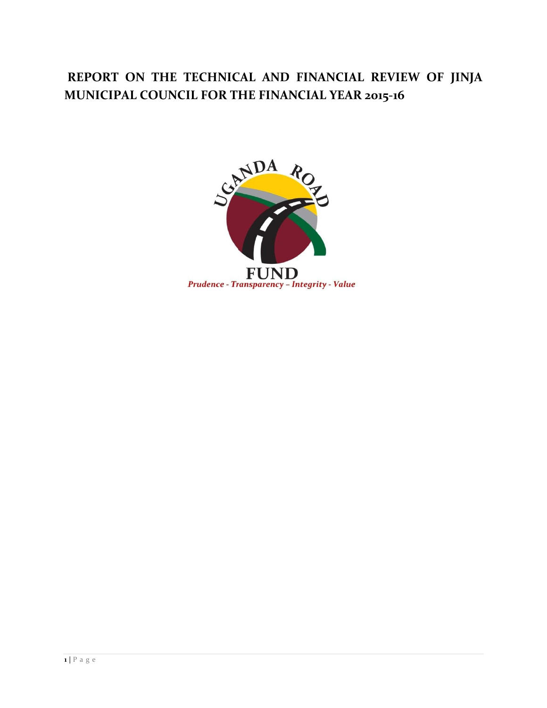# **REPORT ON THE TECHNICAL AND FINANCIAL REVIEW OF JINJA MUNICIPAL COUNCIL FOR THE FINANCIAL YEAR 2015-16**

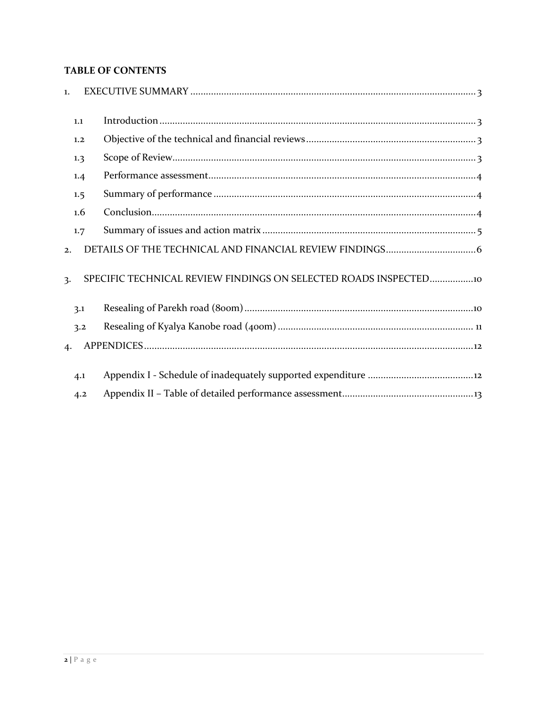### **TABLE OF CONTENTS**

| $\mathbf{1}$ . |     |                                                                |
|----------------|-----|----------------------------------------------------------------|
|                | 1.1 |                                                                |
|                | 1.2 |                                                                |
|                | 1.3 |                                                                |
|                | 1.4 |                                                                |
|                | 1.5 |                                                                |
|                | 1.6 |                                                                |
|                | 1.7 |                                                                |
| 2.             |     |                                                                |
| 3.             |     | SPECIFIC TECHNICAL REVIEW FINDINGS ON SELECTED ROADS INSPECTED |
|                | 3.1 |                                                                |
|                | 3.2 |                                                                |
| 4.             |     |                                                                |
|                | 4.1 |                                                                |
|                | 4.2 |                                                                |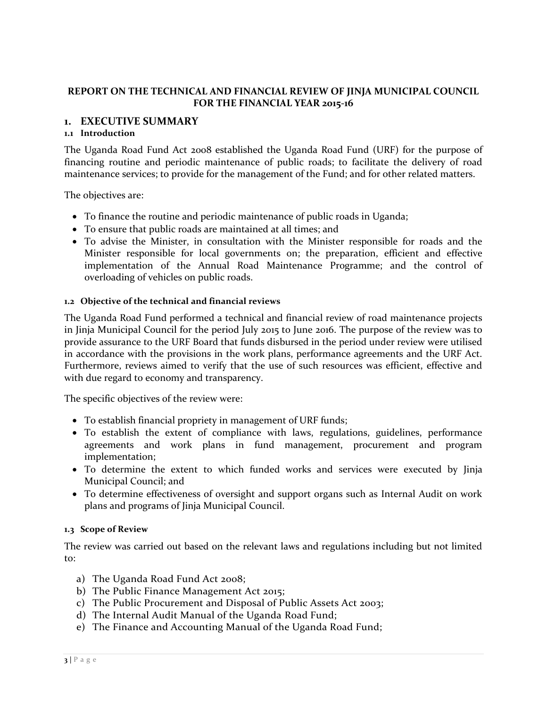### **REPORT ON THE TECHNICAL AND FINANCIAL REVIEW OF JINJA MUNICIPAL COUNCIL FOR THE FINANCIAL YEAR 2015-16**

### <span id="page-2-0"></span>**1. EXECUTIVE SUMMARY**

#### <span id="page-2-1"></span>**1.1 Introduction**

The Uganda Road Fund Act 2008 established the Uganda Road Fund (URF) for the purpose of financing routine and periodic maintenance of public roads; to facilitate the delivery of road maintenance services; to provide for the management of the Fund; and for other related matters.

The objectives are:

- To finance the routine and periodic maintenance of public roads in Uganda;
- To ensure that public roads are maintained at all times; and
- To advise the Minister, in consultation with the Minister responsible for roads and the Minister responsible for local governments on; the preparation, efficient and effective implementation of the Annual Road Maintenance Programme; and the control of overloading of vehicles on public roads.

#### <span id="page-2-2"></span>**1.2 Objective of the technical and financial reviews**

The Uganda Road Fund performed a technical and financial review of road maintenance projects in Jinja Municipal Council for the period July 2015 to June 2016. The purpose of the review was to provide assurance to the URF Board that funds disbursed in the period under review were utilised in accordance with the provisions in the work plans, performance agreements and the URF Act. Furthermore, reviews aimed to verify that the use of such resources was efficient, effective and with due regard to economy and transparency.

The specific objectives of the review were:

- To establish financial propriety in management of URF funds;
- To establish the extent of compliance with laws, regulations, guidelines, performance agreements and work plans in fund management, procurement and program implementation;
- To determine the extent to which funded works and services were executed by Jinja Municipal Council; and
- To determine effectiveness of oversight and support organs such as Internal Audit on work plans and programs of Jinja Municipal Council.

#### <span id="page-2-3"></span>**1.3 Scope of Review**

The review was carried out based on the relevant laws and regulations including but not limited to:

- a) The Uganda Road Fund Act 2008;
- b) The Public Finance Management Act 2015;
- c) The Public Procurement and Disposal of Public Assets Act 2003;
- d) The Internal Audit Manual of the Uganda Road Fund;
- e) The Finance and Accounting Manual of the Uganda Road Fund;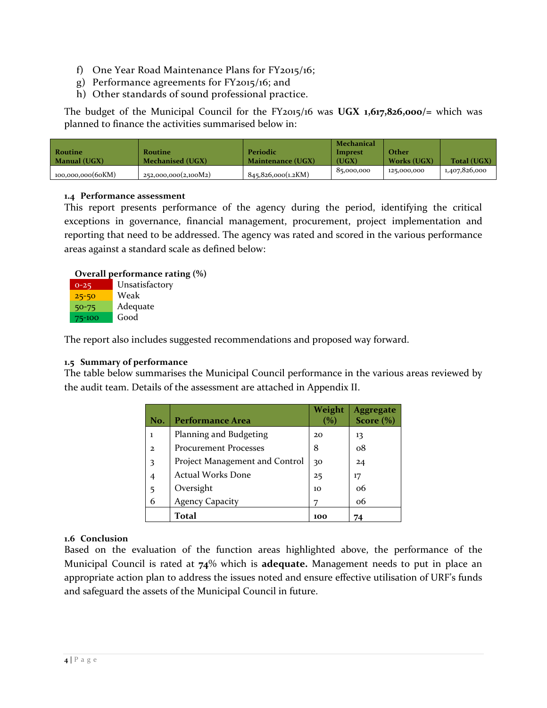- f) One Year Road Maintenance Plans for  $FY2015/16$ ;
- g) Performance agreements for FY2015/16; and
- h) Other standards of sound professional practice.

The budget of the Municipal Council for the FY2015/16 was **UGX 1,617,826,000/=** which was planned to finance the activities summarised below in:

|                     |                      |                          | Mechanical     |             |                    |
|---------------------|----------------------|--------------------------|----------------|-------------|--------------------|
| Routine             | Routine              | Periodic                 | <b>Imprest</b> | Other       |                    |
| <b>Manual (UGX)</b> | Mechanised (UGX)     | <b>Maintenance (UGX)</b> | (UGX)          | Works (UGX) | <b>Total (UGX)</b> |
| 100,000,000(60KM)   | 252,000,000(2,100M2) | 845,826,000(1,2KM)       | 85,000,000     | 125,000,000 | 1,407,826,000      |

#### <span id="page-3-0"></span>**1.4 Performance assessment**

This report presents performance of the agency during the period, identifying the critical exceptions in governance, financial management, procurement, project implementation and reporting that need to be addressed. The agency was rated and scored in the various performance areas against a standard scale as defined below:

#### **Overall performance rating (%)**

| $0 - 25$  | Unsatisfactory |
|-----------|----------------|
| $25 - 50$ | Weak           |
| $50 - 75$ | Adequate       |
| 75-100    | Good           |

The report also includes suggested recommendations and proposed way forward.

### <span id="page-3-1"></span>**1.5 Summary of performance**

The table below summarises the Municipal Council performance in the various areas reviewed by the audit team. Details of the assessment are attached in Appendix II.

| No.          | <b>Performance Area</b>        | Weight<br>$\%$ | Aggregate<br>Score $(\% )$ |
|--------------|--------------------------------|----------------|----------------------------|
| ı            | Planning and Budgeting         | 20             | 13                         |
| $\mathbf{2}$ | <b>Procurement Processes</b>   | 8              | $\alpha$ <sup>8</sup>      |
| 3            | Project Management and Control | 30             | 24                         |
| 4            | <b>Actual Works Done</b>       | 25             | 17                         |
| 5            | Oversight                      | 10             | 06                         |
| 6            | <b>Agency Capacity</b>         |                | 06                         |
|              | Total                          | 100            |                            |

### <span id="page-3-2"></span>**1.6 Conclusion**

Based on the evaluation of the function areas highlighted above, the performance of the Municipal Council is rated at **74**% which is **adequate.** Management needs to put in place an appropriate action plan to address the issues noted and ensure effective utilisation of URF's funds and safeguard the assets of the Municipal Council in future.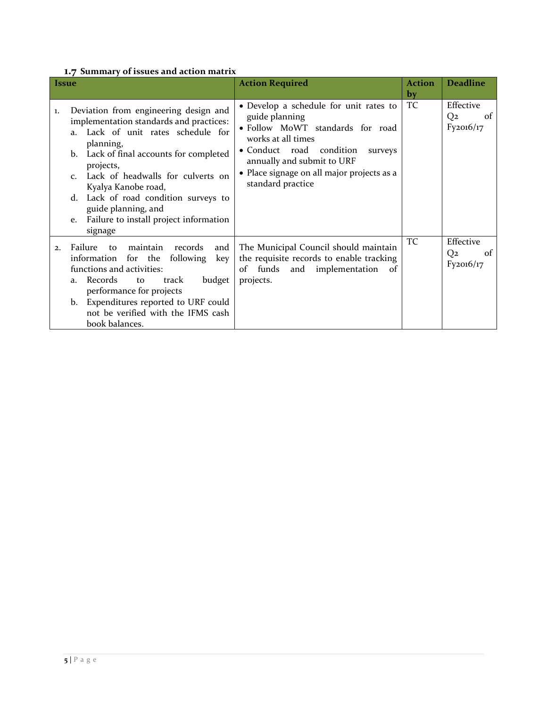### <span id="page-4-0"></span>**1.7 Summary of issues and action matrix**

| <i>Issue</i>                                              |                                                                                                                                                                                                                                                                                                                                                                    | <b>Action Required</b>                                                                                                                                                                                                                                     | <b>Action</b><br>by | <b>Deadline</b>                                           |
|-----------------------------------------------------------|--------------------------------------------------------------------------------------------------------------------------------------------------------------------------------------------------------------------------------------------------------------------------------------------------------------------------------------------------------------------|------------------------------------------------------------------------------------------------------------------------------------------------------------------------------------------------------------------------------------------------------------|---------------------|-----------------------------------------------------------|
| 1.<br>a <sub>1</sub><br>b.<br>$\mathcal{C}$ .<br>d.<br>e. | Deviation from engineering design and<br>implementation standards and practices:<br>Lack of unit rates schedule for<br>planning,<br>Lack of final accounts for completed<br>projects,<br>Lack of headwalls for culverts on<br>Kyalya Kanobe road,<br>Lack of road condition surveys to<br>guide planning, and<br>Failure to install project information<br>signage | • Develop a schedule for unit rates to<br>guide planning<br>· Follow MoWT standards for road<br>works at all times<br>• Conduct road condition<br>surveys<br>annually and submit to URF<br>• Place signage on all major projects as a<br>standard practice | TC                  | Effective<br>Q <sub>2</sub><br><sup>of</sup><br>Fy2016/17 |
| Failure<br>2.<br>information<br>a.<br>b.                  | maintain<br>records<br>and  <br>to<br>for the<br>following<br>key<br>functions and activities:<br>Records<br>budget<br>track<br>to<br>performance for projects<br>Expenditures reported to URF could<br>not be verified with the IFMS cash<br>book balances.                                                                                                       | The Municipal Council should maintain<br>the requisite records to enable tracking<br>of<br>funds<br>and<br>implementation of<br>projects.                                                                                                                  | TC                  | Effective<br>Q <sub>2</sub><br>of<br>Fy2016/17            |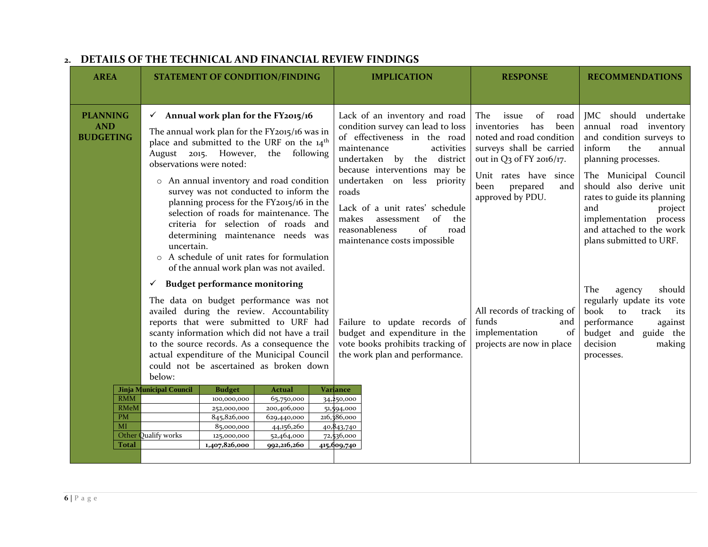<span id="page-5-0"></span>

| <b>AREA</b>                                                                                                | <b>STATEMENT OF CONDITION/FINDING</b>                                                                                                                                                                                                                                                                                                                                                                                                                                                                                                                                                                                                                                                                                                                                                                                                                                                                                                                                                                                                                                                                                                                                                                                            | <b>IMPLICATION</b>                                                                                                                                                                                                                                                                                                                                                                                                                                                                                                                                                                                    | <b>RESPONSE</b>                                                                                                                                                                                                                                                                                                         | <b>RECOMMENDATIONS</b>                                                                                                                                                                                                                                                                                                                                                                                                                                                                           |
|------------------------------------------------------------------------------------------------------------|----------------------------------------------------------------------------------------------------------------------------------------------------------------------------------------------------------------------------------------------------------------------------------------------------------------------------------------------------------------------------------------------------------------------------------------------------------------------------------------------------------------------------------------------------------------------------------------------------------------------------------------------------------------------------------------------------------------------------------------------------------------------------------------------------------------------------------------------------------------------------------------------------------------------------------------------------------------------------------------------------------------------------------------------------------------------------------------------------------------------------------------------------------------------------------------------------------------------------------|-------------------------------------------------------------------------------------------------------------------------------------------------------------------------------------------------------------------------------------------------------------------------------------------------------------------------------------------------------------------------------------------------------------------------------------------------------------------------------------------------------------------------------------------------------------------------------------------------------|-------------------------------------------------------------------------------------------------------------------------------------------------------------------------------------------------------------------------------------------------------------------------------------------------------------------------|--------------------------------------------------------------------------------------------------------------------------------------------------------------------------------------------------------------------------------------------------------------------------------------------------------------------------------------------------------------------------------------------------------------------------------------------------------------------------------------------------|
| <b>PLANNING</b><br><b>AND</b><br><b>BUDGETING</b><br><b>RMM</b><br><b>RMeM</b><br>PM<br>MI<br><b>Total</b> | $\checkmark$ Annual work plan for the FY2015/16<br>The annual work plan for the FY2015/16 was in<br>place and submitted to the URF on the 14 <sup>th</sup><br>August 2015. However, the following<br>observations were noted:<br>o An annual inventory and road condition<br>survey was not conducted to inform the<br>planning process for the FY2015/16 in the<br>selection of roads for maintenance. The<br>criteria for selection of roads and<br>determining maintenance needs was<br>uncertain.<br>A schedule of unit rates for formulation<br>$\circ$<br>of the annual work plan was not availed.<br><b>Budget performance monitoring</b><br>✓<br>The data on budget performance was not<br>availed during the review. Accountability<br>reports that were submitted to URF had<br>scanty information which did not have a trail<br>to the source records. As a consequence the<br>actual expenditure of the Municipal Council<br>could not be ascertained as broken down<br>below:<br>Jinja Municipal Council<br><b>Budget</b><br><b>Actual</b><br>100,000,000<br>65,750,000<br>200,406,000<br>252,000,000<br>845,826,000<br>629,440,000<br>85,000,000<br>44,156,260<br>Other Qualify works<br>52,464,000<br>125,000,000 | Lack of an inventory and road<br>condition survey can lead to loss<br>of effectiveness in the road<br>maintenance<br>activities<br>undertaken by the district<br>because interventions may be<br>undertaken on less priority<br>roads<br>Lack of a unit rates' schedule<br>of<br>makes<br>the<br>assessment<br>reasonableness<br>of<br>road<br>maintenance costs impossible<br>Failure to update records of<br>budget and expenditure in the<br>vote books prohibits tracking of<br>the work plan and performance.<br>Variance<br>34,250,000<br>51,594,000<br>216,386,000<br>40,843,740<br>72,536,000 | The<br>of<br>issue<br>road<br>inventories<br>has<br>been<br>noted and road condition<br>surveys shall be carried<br>out in Q3 of FY 2016/17.<br>Unit rates have since<br>been<br>prepared<br>and<br>approved by PDU.<br>All records of tracking of<br>funds<br>and<br>implementation<br>of<br>projects are now in place | JMC should undertake<br>annual road inventory<br>and condition surveys to<br>inform<br>the<br>annual<br>planning processes.<br>The Municipal Council<br>should also derive unit<br>rates to guide its planning<br>and<br>project<br>implementation process<br>and attached to the work<br>plans submitted to URF.<br>The<br>should<br>agency<br>regularly update its vote<br>book<br>track<br>to<br>its<br>performance<br>against<br>budget and<br>guide the<br>decision<br>making<br>processes. |
|                                                                                                            | 1,407,826,000<br>992,216,260                                                                                                                                                                                                                                                                                                                                                                                                                                                                                                                                                                                                                                                                                                                                                                                                                                                                                                                                                                                                                                                                                                                                                                                                     | 415,609,740                                                                                                                                                                                                                                                                                                                                                                                                                                                                                                                                                                                           |                                                                                                                                                                                                                                                                                                                         |                                                                                                                                                                                                                                                                                                                                                                                                                                                                                                  |

### **2. DETAILS OF THE TECHNICAL AND FINANCIAL REVIEW FINDINGS**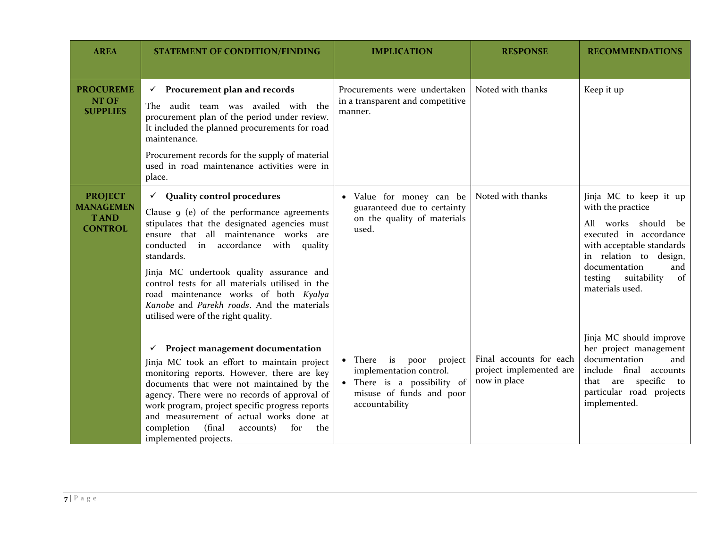| <b>AREA</b>                        | <b>STATEMENT OF CONDITION/FINDING</b>                                                                                                                                                                                                                                                | <b>IMPLICATION</b>                                                                                                                 | <b>RESPONSE</b>                                                    | <b>RECOMMENDATIONS</b>                                                                                                                                                       |
|------------------------------------|--------------------------------------------------------------------------------------------------------------------------------------------------------------------------------------------------------------------------------------------------------------------------------------|------------------------------------------------------------------------------------------------------------------------------------|--------------------------------------------------------------------|------------------------------------------------------------------------------------------------------------------------------------------------------------------------------|
| <b>PROCUREME</b>                   | $\checkmark$ Procurement plan and records                                                                                                                                                                                                                                            | Procurements were undertaken                                                                                                       | Noted with thanks                                                  | Keep it up                                                                                                                                                                   |
| NT OF<br><b>SUPPLIES</b>           | The audit team was availed with the<br>procurement plan of the period under review.<br>It included the planned procurements for road<br>maintenance.                                                                                                                                 | in a transparent and competitive<br>manner.                                                                                        |                                                                    |                                                                                                                                                                              |
|                                    | Procurement records for the supply of material<br>used in road maintenance activities were in<br>place.                                                                                                                                                                              |                                                                                                                                    |                                                                    |                                                                                                                                                                              |
| <b>PROJECT</b><br><b>MANAGEMEN</b> | $\checkmark$ Quality control procedures                                                                                                                                                                                                                                              | • Value for money can be<br>guaranteed due to certainty<br>on the quality of materials<br>used.                                    | Noted with thanks                                                  | Jinja MC to keep it up<br>with the practice                                                                                                                                  |
| <b>TAND</b><br><b>CONTROL</b>      | Clause 9 (e) of the performance agreements<br>stipulates that the designated agencies must<br>ensure that all maintenance works are<br>conducted in accordance with quality<br>standards.                                                                                            |                                                                                                                                    |                                                                    | All works should be<br>executed in accordance<br>with acceptable standards<br>in relation to design,<br>documentation<br>and<br>testing suitability<br>of<br>materials used. |
|                                    | Jinja MC undertook quality assurance and<br>control tests for all materials utilised in the<br>road maintenance works of both Kyalya<br>Kanobe and Parekh roads. And the materials<br>utilised were of the right quality.                                                            |                                                                                                                                    |                                                                    |                                                                                                                                                                              |
|                                    | <b>Project management documentation</b><br>✓                                                                                                                                                                                                                                         |                                                                                                                                    |                                                                    | Jinja MC should improve<br>her project management                                                                                                                            |
|                                    | Jinja MC took an effort to maintain project<br>monitoring reports. However, there are key<br>documents that were not maintained by the<br>agency. There were no records of approval of<br>work program, project specific progress reports<br>and measurement of actual works done at | • There is poor<br>project<br>implementation control.<br>• There is a possibility of<br>misuse of funds and poor<br>accountability | Final accounts for each<br>project implemented are<br>now in place | documentation<br>and<br>include final accounts<br>that are specific<br>to<br>particular road projects<br>implemented.                                                        |
|                                    | (final<br>completion<br>accounts)<br>for<br>the<br>implemented projects.                                                                                                                                                                                                             |                                                                                                                                    |                                                                    |                                                                                                                                                                              |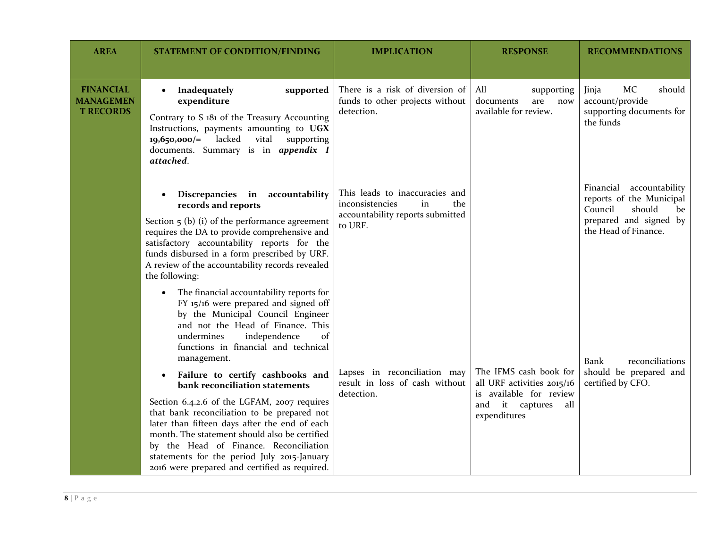| <b>AREA</b>                                              | <b>STATEMENT OF CONDITION/FINDING</b>                                                                                                                                                                                                                                                                                                                                                                                                     | <b>IMPLICATION</b>                                                                                            | <b>RESPONSE</b>                                                                                                           | <b>RECOMMENDATIONS</b>                                                                                                               |
|----------------------------------------------------------|-------------------------------------------------------------------------------------------------------------------------------------------------------------------------------------------------------------------------------------------------------------------------------------------------------------------------------------------------------------------------------------------------------------------------------------------|---------------------------------------------------------------------------------------------------------------|---------------------------------------------------------------------------------------------------------------------------|--------------------------------------------------------------------------------------------------------------------------------------|
| <b>FINANCIAL</b><br><b>MANAGEMEN</b><br><b>T RECORDS</b> | Inadequately<br>supported<br>$\bullet$<br>expenditure<br>Contrary to S 181 of the Treasury Accounting<br>Instructions, payments amounting to UGX<br>$19,650,000/=$ lacked<br>vital<br>supporting<br>documents. Summary is in appendix I<br>attached.                                                                                                                                                                                      | There is a risk of diversion of<br>funds to other projects without<br>detection.                              | All<br>supporting<br>documents<br>are<br>now<br>available for review.                                                     | MC<br>Jinja<br>should<br>account/provide<br>supporting documents for<br>the funds                                                    |
|                                                          | Discrepancies in accountability<br>records and reports<br>Section $\frac{1}{2}$ (b) (i) of the performance agreement<br>requires the DA to provide comprehensive and<br>satisfactory accountability reports for the<br>funds disbursed in a form prescribed by URF.<br>A review of the accountability records revealed<br>the following:                                                                                                  | This leads to inaccuracies and<br>inconsistencies<br>the<br>in<br>accountability reports submitted<br>to URF. |                                                                                                                           | Financial<br>accountability<br>reports of the Municipal<br>should<br>Council<br>be<br>prepared and signed by<br>the Head of Finance. |
|                                                          | The financial accountability reports for<br>$\bullet$<br>FY $15/16$ were prepared and signed off<br>by the Municipal Council Engineer<br>and not the Head of Finance. This<br>undermines<br>independence<br>of<br>functions in financial and technical<br>management.<br>Failure to certify cashbooks and<br>bank reconciliation statements<br>Section 6.4.2.6 of the LGFAM, 2007 requires<br>that bank reconciliation to be prepared not | Lapses in reconciliation may<br>result in loss of cash without<br>detection.                                  | The IFMS cash book for<br>all URF activities 2015/16<br>is available for review<br>and it captures<br>all<br>expenditures | reconciliations<br>Bank<br>should be prepared and<br>certified by CFO.                                                               |
|                                                          | later than fifteen days after the end of each<br>month. The statement should also be certified<br>by the Head of Finance. Reconciliation<br>statements for the period July 2015-January<br>2016 were prepared and certified as required.                                                                                                                                                                                                  |                                                                                                               |                                                                                                                           |                                                                                                                                      |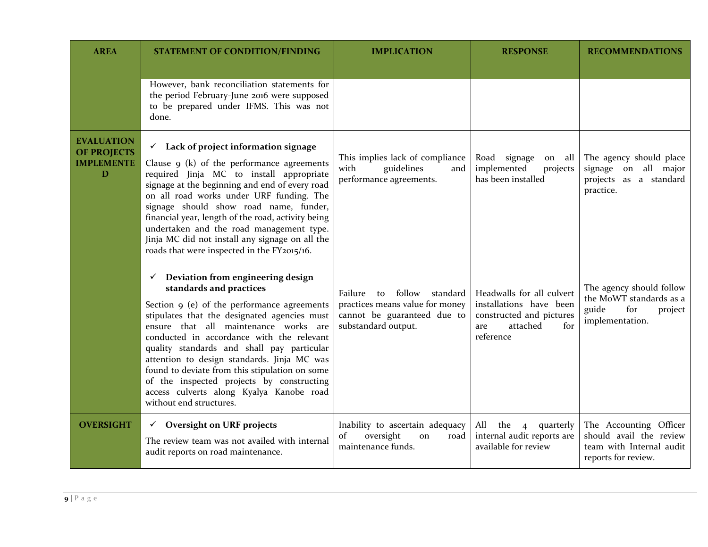| <b>AREA</b>                                                       | <b>STATEMENT OF CONDITION/FINDING</b>                                                                                                                                                                                                                                                                                                                                                                                                                                                                                                | <b>IMPLICATION</b>                                                                                                           | <b>RESPONSE</b>                                                                                                         | <b>RECOMMENDATIONS</b>                                                                               |
|-------------------------------------------------------------------|--------------------------------------------------------------------------------------------------------------------------------------------------------------------------------------------------------------------------------------------------------------------------------------------------------------------------------------------------------------------------------------------------------------------------------------------------------------------------------------------------------------------------------------|------------------------------------------------------------------------------------------------------------------------------|-------------------------------------------------------------------------------------------------------------------------|------------------------------------------------------------------------------------------------------|
|                                                                   | However, bank reconciliation statements for<br>the period February-June 2016 were supposed<br>to be prepared under IFMS. This was not<br>done.                                                                                                                                                                                                                                                                                                                                                                                       |                                                                                                                              |                                                                                                                         |                                                                                                      |
| <b>EVALUATION</b><br><b>OF PROJECTS</b><br><b>IMPLEMENTE</b><br>D | $\checkmark$ Lack of project information signage<br>Clause $9$ (k) of the performance agreements<br>required Jinja MC to install appropriate<br>signage at the beginning and end of every road<br>on all road works under URF funding. The<br>signage should show road name, funder,<br>financial year, length of the road, activity being<br>undertaken and the road management type.<br>Jinja MC did not install any signage on all the<br>roads that were inspected in the FY2015/16.                                             | This implies lack of compliance<br>guidelines<br>with<br>and<br>performance agreements.                                      | Road signage<br>on all<br>implemented<br>projects<br>has been installed                                                 | The agency should place<br>signage on all major<br>projects as a standard<br>practice.               |
|                                                                   | Deviation from engineering design<br>$\checkmark$<br>standards and practices<br>Section 9 (e) of the performance agreements<br>stipulates that the designated agencies must<br>ensure that all maintenance works are<br>conducted in accordance with the relevant<br>quality standards and shall pay particular<br>attention to design standards. Jinja MC was<br>found to deviate from this stipulation on some<br>of the inspected projects by constructing<br>access culverts along Kyalya Kanobe road<br>without end structures. | follow<br>Failure<br>standard<br>to<br>practices means value for money<br>cannot be guaranteed due to<br>substandard output. | Headwalls for all culvert<br>installations have been<br>constructed and pictures<br>attached<br>for<br>are<br>reference | The agency should follow<br>the MoWT standards as a<br>guide<br>for<br>project<br>implementation.    |
| <b>OVERSIGHT</b>                                                  | $\checkmark$ Oversight on URF projects<br>The review team was not availed with internal<br>audit reports on road maintenance.                                                                                                                                                                                                                                                                                                                                                                                                        | Inability to ascertain adequacy<br>oversight<br>of<br>road<br>on<br>maintenance funds.                                       | All the 4<br>quarterly<br>internal audit reports are<br>available for review                                            | The Accounting Officer<br>should avail the review<br>team with Internal audit<br>reports for review. |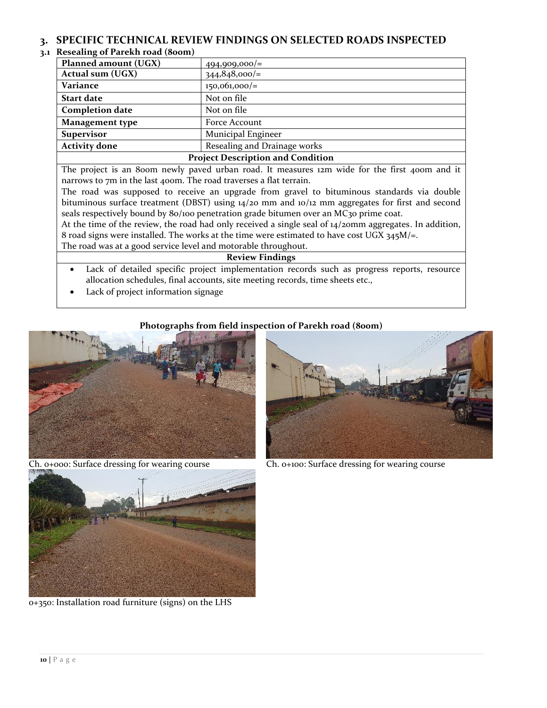### <span id="page-9-0"></span>**3. SPECIFIC TECHNICAL REVIEW FINDINGS ON SELECTED ROADS INSPECTED**

### <span id="page-9-1"></span>**3.1 Resealing of Parekh road (800m)**

| $\cdots$ . $\cdots$ . $\cdots$ . $\cdots$ . $\cdots$ . $\cdots$ . $\cdots$                                                      |                              |  |  |
|---------------------------------------------------------------------------------------------------------------------------------|------------------------------|--|--|
| Planned amount (UGX)                                                                                                            | $494,909,000/=$              |  |  |
| Actual sum (UGX)                                                                                                                | $344,848,000/=$              |  |  |
| Variance                                                                                                                        | $150,061,000/=$              |  |  |
| <b>Start date</b>                                                                                                               | Not on file                  |  |  |
| <b>Completion date</b>                                                                                                          | Not on file                  |  |  |
| Management type                                                                                                                 | Force Account                |  |  |
| <b>Supervisor</b>                                                                                                               | Municipal Engineer           |  |  |
| <b>Activity done</b>                                                                                                            | Resealing and Drainage works |  |  |
| $\mathbf{D}_{\text{max}}$ to an $\mathbf{D}_{\text{max}}$ to the theory of $\mathbf{A}$ $\mathbf{C}_{\text{max}}$ at the theory |                              |  |  |

#### **Project Description and Condition**

The project is an 800m newly paved urban road. It measures 12m wide for the first 400m and it narrows to 7m in the last 400m. The road traverses a flat terrain.

The road was supposed to receive an upgrade from gravel to bituminous standards via double bituminous surface treatment (DBST) using 14/20 mm and 10/12 mm aggregates for first and second seals respectively bound by 80/100 penetration grade bitumen over an MC30 prime coat.

At the time of the review, the road had only received a single seal of 14/20mm aggregates. In addition, 8 road signs were installed. The works at the time were estimated to have cost UGX  $345M/\text{m}$ . The road was at a good service level and motorable throughout.

**Review Findings**

 Lack of detailed specific project implementation records such as progress reports, resource allocation schedules, final accounts, site meeting records, time sheets etc.,

Lack of project information signage

### **Photographs from field inspection of Parekh road (800m)**





Ch. 0+000: Surface dressing for wearing course Ch. 0+100: Surface dressing for wearing course



0+350: Installation road furniture (signs) on the LHS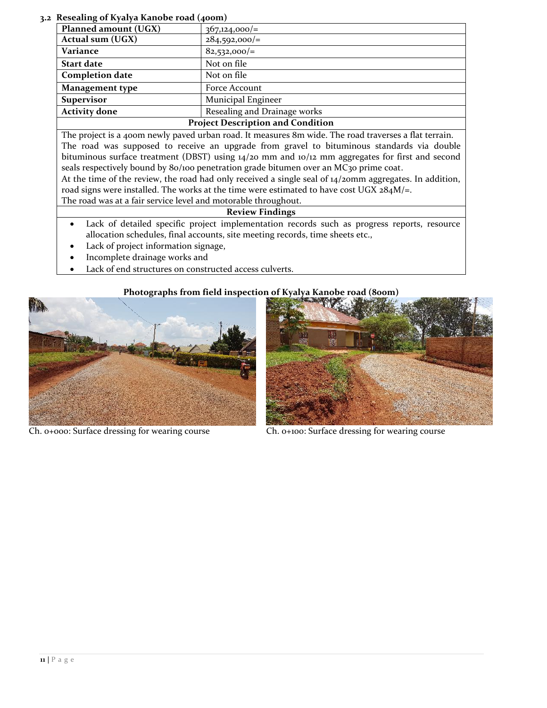<span id="page-10-0"></span>**3.2 Resealing of Kyalya Kanobe road (400m)**

| reseamig of Kyarya Kanobe Toau (400m)    |                              |  |  |
|------------------------------------------|------------------------------|--|--|
| Planned amount (UGX)                     | $367,124,000/=$              |  |  |
| Actual sum (UGX)                         | $284,592,000/=$              |  |  |
| Variance                                 | $82,532,000/=$               |  |  |
| <b>Start date</b>                        | Not on file                  |  |  |
| <b>Completion date</b>                   | Not on file                  |  |  |
| <b>Management type</b>                   | Force Account                |  |  |
| Municipal Engineer<br><b>Supervisor</b>  |                              |  |  |
| <b>Activity done</b>                     | Resealing and Drainage works |  |  |
| <b>Project Description and Condition</b> |                              |  |  |

The project is a 400m newly paved urban road. It measures 8m wide. The road traverses a flat terrain. The road was supposed to receive an upgrade from gravel to bituminous standards via double bituminous surface treatment (DBST) using 14/20 mm and 10/12 mm aggregates for first and second seals respectively bound by 80/100 penetration grade bitumen over an MC30 prime coat.

At the time of the review, the road had only received a single seal of 14/20mm aggregates. In addition, road signs were installed. The works at the time were estimated to have cost UGX  $284M/\text{m}$ .

The road was at a fair service level and motorable throughout.

### **Review Findings**

- Lack of detailed specific project implementation records such as progress reports, resource allocation schedules, final accounts, site meeting records, time sheets etc.,
- Lack of project information signage,
- Incomplete drainage works and
- Lack of end structures on constructed access culverts.

### **Photographs from field inspection of Kyalya Kanobe road (800m)**





Ch. 0+000: Surface dressing for wearing course Ch. 0+100: Surface dressing for wearing course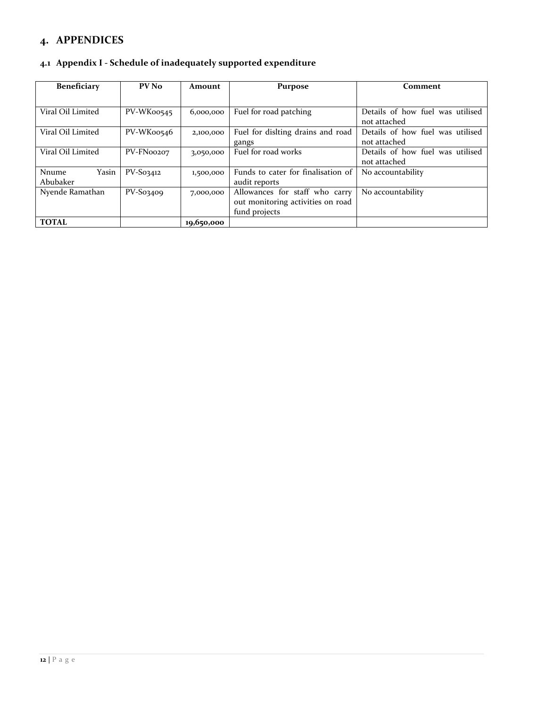## <span id="page-11-0"></span>**4. APPENDICES**

### <span id="page-11-1"></span>**4.1 Appendix I - Schedule of inadequately supported expenditure**

| <b>Beneficiary</b>                | PV No       | Amount     | <b>Purpose</b>                                                                       | Comment                                          |
|-----------------------------------|-------------|------------|--------------------------------------------------------------------------------------|--------------------------------------------------|
|                                   |             |            |                                                                                      |                                                  |
| Viral Oil Limited                 | PV-WK00545  | 6,000,000  | Fuel for road patching                                                               | Details of how fuel was utilised<br>not attached |
| Viral Oil Limited                 | PV-WK00546  | 2,100,000  | Fuel for dislting drains and road<br>gangs                                           | Details of how fuel was utilised<br>not attached |
| Viral Oil Limited                 | PV-FN00207  | 3,050,000  | Fuel for road works                                                                  | Details of how fuel was utilised<br>not attached |
| Yasin<br><b>Nnume</b><br>Abubaker | $PV-S03412$ | 1,500,000  | Funds to cater for finalisation of<br>audit reports                                  | No accountability                                |
| Nyende Ramathan                   | $PV-So34o9$ | 7,000,000  | Allowances for staff who carry<br>out monitoring activities on road<br>fund projects | No accountability                                |
| <b>TOTAL</b>                      |             | 19,650,000 |                                                                                      |                                                  |